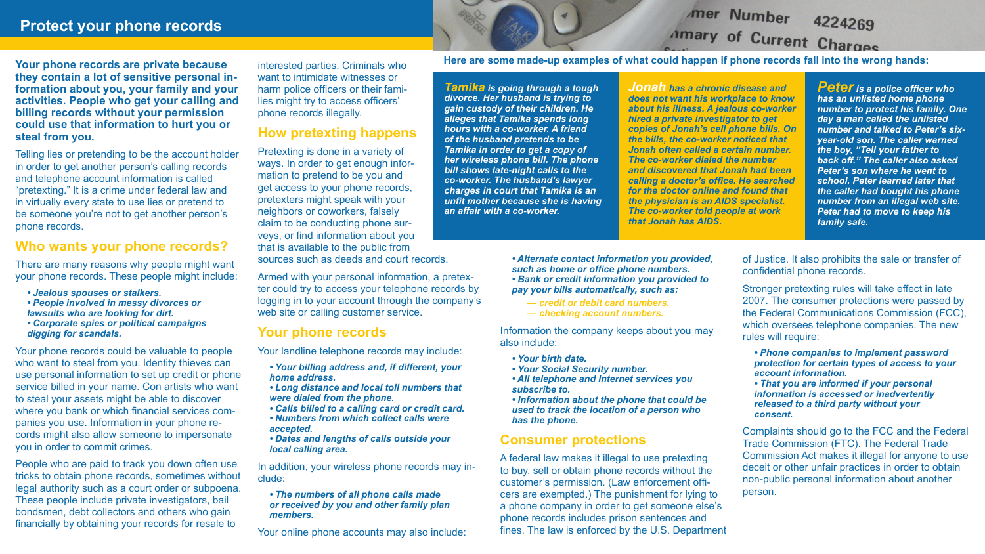**Your phone records are private because they contain a lot of sensitive personal information about you, your family and your activities. People who get your calling and billing records without your permission could use that information to hurt you or steal from you.**

Telling lies or pretending to be the account holder in order to get another person's calling records and telephone account information is called "pretexting." It is a crime under federal law and in virtually every state to use lies or pretend to be someone you're not to get another person's phone records.

### **Who wants your phone records?**

There are many reasons why people might want your phone records. These people might include:

- *Jealous spouses or stalkers.*
- *People involved in messy divorces or lawsuits who are looking for dirt.*
- *Corporate spies or political campaigns digging for scandals.*

Your phone records could be valuable to people who want to steal from you. Identity thieves can use personal information to set up credit or phone service billed in your name. Con artists who want to steal your assets might be able to discover where you bank or which financial services companies you use. Information in your phone records might also allow someone to impersonate you in order to commit crimes.

People who are paid to track you down often use tricks to obtain phone records, sometimes without legal authority such as a court order or subpoena. These people include private investigators, bail bondsmen, debt collectors and others who gain financially by obtaining your records for resale to

# **Protect your phone records**

# mer Number 4224269 Amary of Current Charges

#### **Here are some made-up examples of what could happen if phone records fall into the wrong hands:**

*Tamika is going through a tough divorce. Her husband is trying to gain custody of their children. He alleges that Tamika spends long hours with a co-worker. A friend of the husband pretends to be Tamika in order to get a copy of her wireless phone bill. The phone bill shows late-night calls to the co-worker. The husband's lawyer charges in court that Tamika is an unfit mother because she is having an affair with a co-worker.*

In addition, your wireless phone records may include:

*Jonah has a chronic disease and does not want his workplace to know about his illness. A jealous co-worker hired a private investigator to get copies of Jonah's cell phone bills. On the bills, the co-worker noticed that Jonah often called a certain number. The co-worker dialed the number and discovered that Jonah had been calling a doctor's office. He searched for the doctor online and found that the physician is an AIDS specialist. The co-worker told people at work that Jonah has AIDS.*

> Stronger pretexting rules will take effect in late 2007. The consumer protections were passed by the Federal Communications Commission (FCC), which oversees telephone companies. The new rules will require:

*Peter is a police officer who has an unlisted home phone number to protect his family. One day a man called the unlisted number and talked to Peter's sixyear-old son. The caller warned the boy, "Tell your father to back off." The caller also asked Peter's son where he went to school. Peter learned later that the caller had bought his phone number from an illegal web site. Peter had to move to keep his family safe.*

interested parties. Criminals who want to intimidate witnesses or harm police officers or their families might try to access officers' phone records illegally.

# **How pretexting happens**

Pretexting is done in a variety of ways. In order to get enough information to pretend to be you and get access to your phone records, pretexters might speak with your neighbors or coworkers, falsely claim to be conducting phone surveys, or find information about you that is available to the public from sources such as deeds and court records.

Armed with your personal information, a pretexter could try to access your telephone records by logging in to your account through the company's web site or calling customer service.

# **Your phone records**

Your landline telephone records may include:

- *Your billing address and, if different, your home address.*
- *Long distance and local toll numbers that were dialed from the phone.*
- *Calls billed to a calling card or credit card.*
- *Numbers from which collect calls were accepted.*

*• Dates and lengths of calls outside your local calling area.*

#### *• The numbers of all phone calls made or received by you and other family plan members.*

Your online phone accounts may also include:

*• Alternate contact information you provided, such as home or office phone numbers. • Bank or credit information you provided to pay your bills automatically, such as:*

- *credit or debit card numbers.*
- *checking account numbers.*

Information the company keeps about you may also include:

- *Your birth date.*
- *Your Social Security number.*
- *All telephone and Internet services you subscribe to.*
- *Information about the phone that could be used to track the location of a person who has the phone.*

## **Consumer protections**

A federal law makes it illegal to use pretexting to buy, sell or obtain phone records without the customer's permission. (Law enforcement officers are exempted.) The punishment for lying to a phone company in order to get someone else's phone records includes prison sentences and fines. The law is enforced by the U.S. Department of Justice. It also prohibits the sale or transfer of confidential phone records.

*• Phone companies to implement password protection for certain types of access to your account information.*

*• That you are informed if your personal information is accessed or inadvertently released to a third party without your consent.*

Complaints should go to the FCC and the Federal Trade Commission (FTC). The Federal Trade Commission Act makes it illegal for anyone to use deceit or other unfair practices in order to obtain non-public personal information about another person.